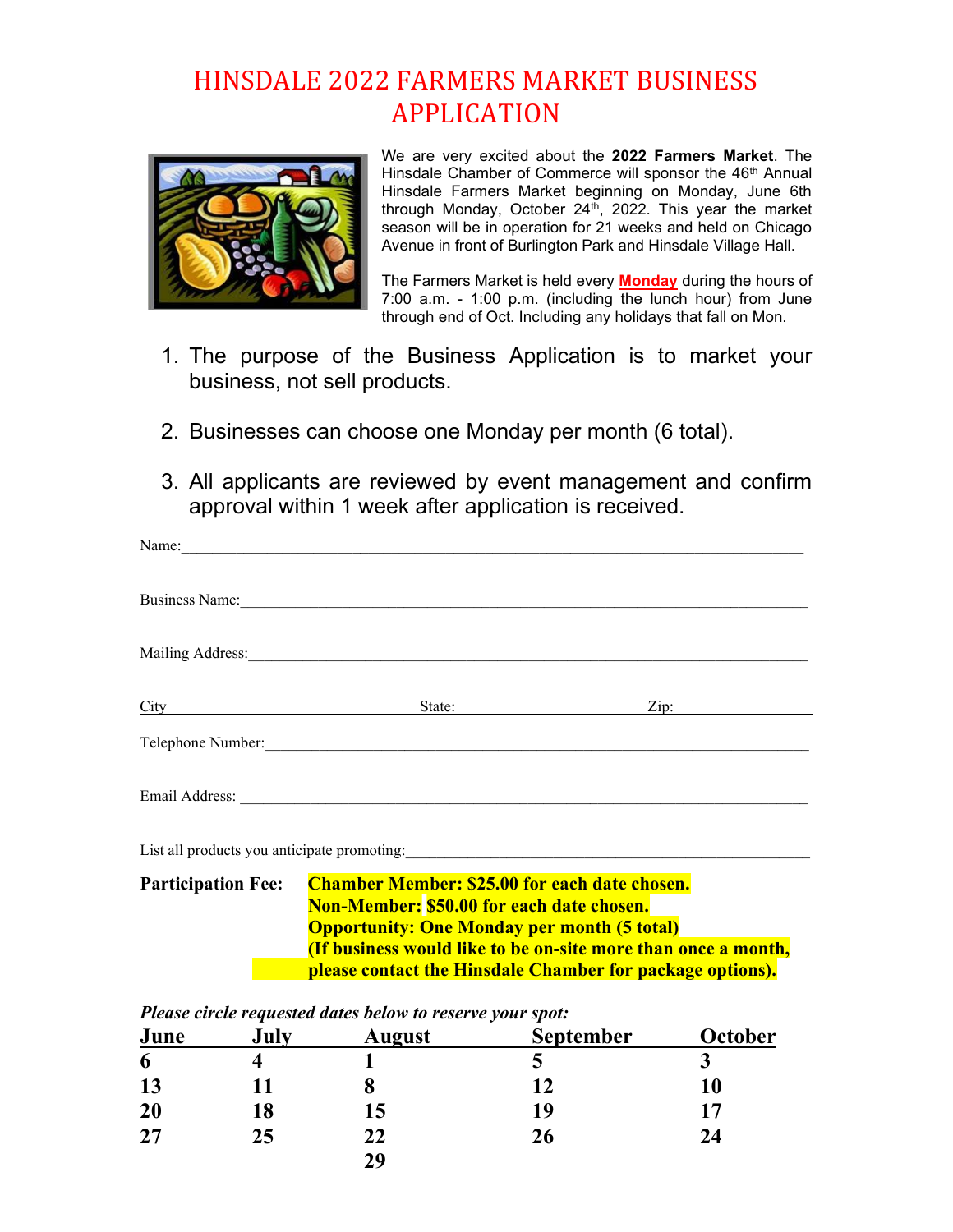## HINSDALE 2022 FARMERS MARKET BUSINESS APPLICATION



We are very excited about the 2022 Farmers Market. The Hinsdale Chamber of Commerce will sponsor the 46<sup>th</sup> Annual Hinsdale Farmers Market beginning on Monday, June 6th through Monday, October 24th, 2022. This year the market season will be in operation for 21 weeks and held on Chicago Avenue in front of Burlington Park and Hinsdale Village Hall.

The Farmers Market is held every **Monday** during the hours of 7:00 a.m. - 1:00 p.m. (including the lunch hour) from June through end of Oct. Including any holidays that fall on Mon.

- 1. The purpose of the Business Application is to market your business, not sell products.
- 2. Businesses can choose one Monday per month (6 total).
- 3. All applicants are reviewed by event management and confirm approval within 1 week after application is received.

|                                                                                                                                                                                                                                                              | Name: Name and the second contract of the second contract of the second contract of the second contract of the second contract of the second contract of the second contract of the second contract of the second contract of  |                    |  |
|--------------------------------------------------------------------------------------------------------------------------------------------------------------------------------------------------------------------------------------------------------------|--------------------------------------------------------------------------------------------------------------------------------------------------------------------------------------------------------------------------------|--------------------|--|
|                                                                                                                                                                                                                                                              | Business Name: Manual Communication of the Communication of the Communication of the Communication of the Communication of the Communication of the Communication of the Communication of the Communication of the Communicati |                    |  |
|                                                                                                                                                                                                                                                              |                                                                                                                                                                                                                                |                    |  |
| City                                                                                                                                                                                                                                                         |                                                                                                                                                                                                                                | State: <u>Zip:</u> |  |
|                                                                                                                                                                                                                                                              | Telephone Number:                                                                                                                                                                                                              |                    |  |
|                                                                                                                                                                                                                                                              | Email Address: No. 1996. The Contract of the Contract of the Contract of the Contract of the Contract of the Contract of the Contract of the Contract of the Contract of the Contract of the Contract of the Contract of the C |                    |  |
|                                                                                                                                                                                                                                                              | List all products you anticipate promoting:                                                                                                                                                                                    |                    |  |
| <b>Chamber Member: \$25.00 for each date chosen.</b><br><b>Participation Fee:</b><br><b>Non-Member: \$50.00 for each date chosen.</b><br><b>Opportunity: One Monday per month (5 total)</b><br>(If business would like to be on-site more than once a month, |                                                                                                                                                                                                                                |                    |  |

Please circle requested dates below to reserve your spot:

| June | July | <b>August</b> | ↩<br><b>September</b> | October |
|------|------|---------------|-----------------------|---------|
| 6    |      |               |                       |         |
| 13   | 11   |               | 12                    | 10      |
| 20   | 18   | 15            | 19                    | 17      |
| 27   | 25   | 22            | 26                    | 24      |
|      |      | 29            |                       |         |

please contact the Hinsdale Chamber for package options).